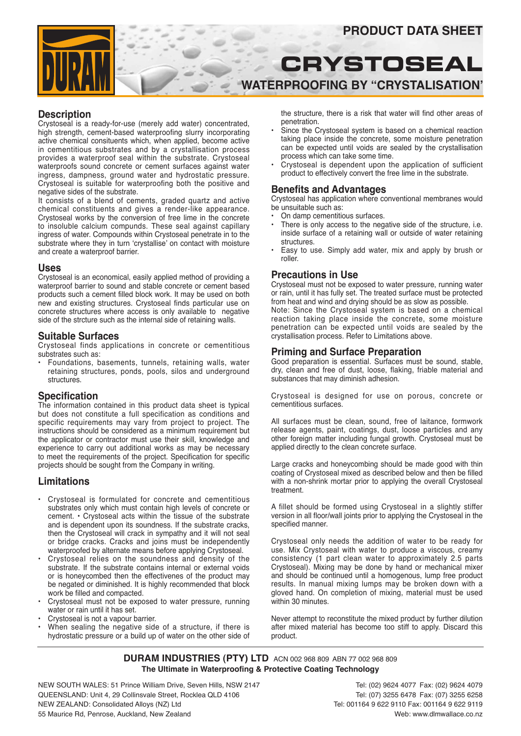# **PRODUCT DATA SHEET**

# **Crystoseal Waterproofing by "Crystalisation'**

**Description**

Crystoseal is a ready-for-use (merely add water) concentrated, high strength, cement-based waterproofing slurry incorporating active chemical consituents which, when applied, become active in cementitious substrates and by a crystallisation process provides a waterproof seal within the substrate. Crystoseal waterproofs sound concrete or cement surfaces against water ingress, dampness, ground water and hydrostatic pressure. Crystoseal is suitable for waterproofing both the positive and negative sides of the substrate.

It consists of a blend of cements, graded quartz and active chemical constituents and gives a render-like appearance. Crystoseal works by the conversion of free lime in the concrete to insoluble calcium compunds. These seal against capillary ingress of water. Compounds within Crystoseal penetrate in to the substrate where they in turn 'crystallise' on contact with moisture and create a waterproof barrier.

#### **Uses**

Crystoseal is an economical, easily applied method of providing a waterproof barrier to sound and stable concrete or cement based products such a cement filled block work. It may be used on both new and existing structures. Crystoseal finds particular use on concrete structures where access is only available to negative side of the strcture such as the internal side of retaining walls.

#### **Suitable Surfaces**

Crystoseal finds applications in concrete or cementitious substrates such as:

• Foundations, basements, tunnels, retaining walls, water retaining structures, ponds, pools, silos and underground structures.

#### **Specification**

The information contained in this product data sheet is typical but does not constitute a full specification as conditions and specific requirements may vary from project to project. The instructions should be considered as a minimum requirement but the applicator or contractor must use their skill, knowledge and experience to carry out additional works as may be necessary to meet the requirements of the project. Specification for specific projects should be sought from the Company in writing.

# **Limitations**

- Crystoseal is formulated for concrete and cementitious substrates only which must contain high levels of concrete or cement. • Crystoseal acts within the tissue of the substrate and is dependent upon its soundness. If the substrate cracks, then the Crystoseal will crack in sympathy and it will not seal or bridge cracks. Cracks and joins must be independently waterproofed by alternate means before applying Crystoseal.
- Crystoseal relies on the soundness and density of the substrate. If the substrate contains internal or external voids or is honeycombed then the effectivenes of the product may be negated or diminished. It is highly recommended that block work be filled and compacted.
- Crystoseal must not be exposed to water pressure, running water or rain until it has set.
- Crystoseal is not a vapour barrier.
- When sealing the negative side of a structure, if there is hydrostatic pressure or a build up of water on the other side of

the structure, there is a risk that water will find other areas of penetration.

- Since the Crystoseal system is based on a chemical reaction taking place inside the concrete, some moisture penetration can be expected until voids are sealed by the crystallisation process which can take some time.
- Crystoseal is dependent upon the application of sufficient product to effectively convert the free lime in the substrate.

### **Benefits and Advantages**

Crystoseal has application where conventional membranes would be unsuitable such as:

- On damp cementitious surfaces.
- There is only access to the negative side of the structure, i.e. inside surface of a retaining wall or outside of water retaining **structures**
- Easy to use. Simply add water, mix and apply by brush or roller.

#### **Precautions in Use**

Crystoseal must not be exposed to water pressure, running water or rain, until it has fully set. The treated surface must be protected from heat and wind and drying should be as slow as possible. Note: Since the Crystoseal system is based on a chemical reaction taking place inside the concrete, some moisture penetration can be expected until voids are sealed by the crystallisation process. Refer to Limitations above.

#### **Priming and Surface Preparation**

Good preparation is essential. Surfaces must be sound, stable, dry, clean and free of dust, loose, flaking, friable material and substances that may diminish adhesion.

Crystoseal is designed for use on porous, concrete or cementitious surfaces.

All surfaces must be clean, sound, free of laitance, formwork release agents, paint, coatings, dust, loose particles and any other foreign matter including fungal growth. Crystoseal must be applied directly to the clean concrete surface.

Large cracks and honeycombing should be made good with thin coating of Crystoseal mixed as described below and then be filled with a non-shrink mortar prior to applying the overall Crystoseal treatment.

A fillet should be formed using Crystoseal in a slightly stiffer version in all floor/wall joints prior to applying the Crystoseal in the specified manner.

Crystoseal only needs the addition of water to be ready for use. Mix Crystoseal with water to produce a viscous, creamy consistency (1 part clean water to approximately 2.5 parts Crystoseal). Mixing may be done by hand or mechanical mixer and should be continued until a homogenous, lump free product results. In manual mixing lumps may be broken down with a gloved hand. On completion of mixing, material must be used within 30 minutes.

Never attempt to reconstitute the mixed product by further dilution after mixed material has become too stiff to apply. Discard this product.

**DURAM INDUSTRIES (PTY) LTD** ACN 002 968 809 ABN 77 002 968 809 **The Ultimate in Waterproofing & Protective Coating Technology**

NEW SOUTH WALES: 51 Prince William Drive, Seven Hills, NSW 2147 Tel: (02) 9624 4077 Fax: (02) 9624 4079 QUEENSLAND: Unit 4, 29 Collinsvale Street, Rocklea QLD 4106 Tel: (07) 3255 6478 Fax: (07) 3255 6258 NEW ZEALAND: Consolidated Alloys (NZ) Ltd Tel: 001164 9 622 9110 Fax: 001164 9 622 9119 55 Maurice Rd, Penrose, Auckland, New Zealand Web: www.dlmwallace.co.nz